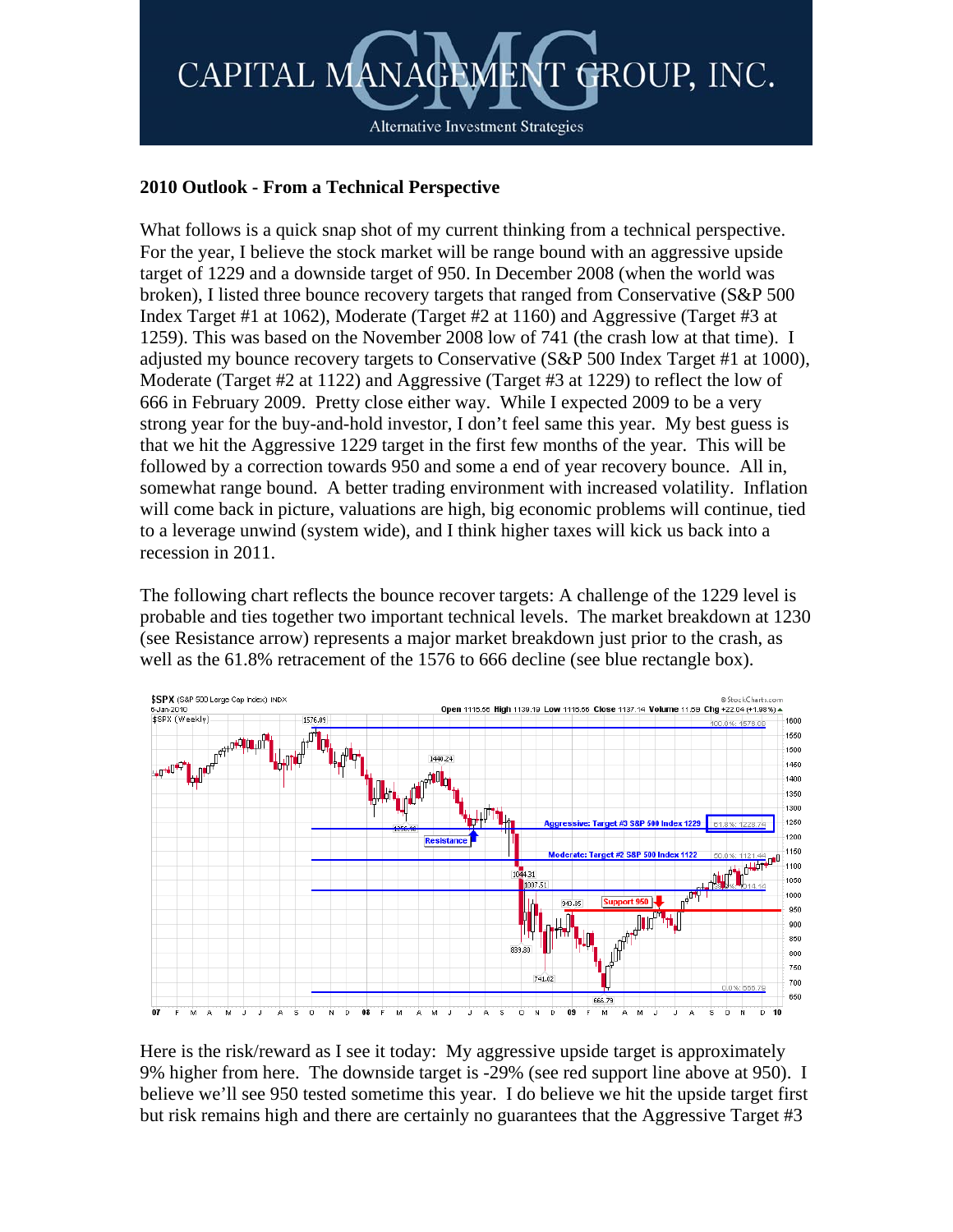

## **2010 Outlook - From a Technical Perspective**

What follows is a quick snap shot of my current thinking from a technical perspective. For the year, I believe the stock market will be range bound with an aggressive upside target of 1229 and a downside target of 950. In December 2008 (when the world was broken), I listed three bounce recovery targets that ranged from Conservative (S&P 500 Index Target #1 at 1062), Moderate (Target #2 at 1160) and Aggressive (Target #3 at 1259). This was based on the November 2008 low of 741 (the crash low at that time). I adjusted my bounce recovery targets to Conservative (S&P 500 Index Target #1 at 1000), Moderate (Target #2 at 1122) and Aggressive (Target #3 at 1229) to reflect the low of 666 in February 2009. Pretty close either way. While I expected 2009 to be a very strong year for the buy-and-hold investor, I don't feel same this year. My best guess is that we hit the Aggressive 1229 target in the first few months of the year. This will be followed by a correction towards 950 and some a end of year recovery bounce. All in, somewhat range bound. A better trading environment with increased volatility. Inflation will come back in picture, valuations are high, big economic problems will continue, tied to a leverage unwind (system wide), and I think higher taxes will kick us back into a recession in 2011.

The following chart reflects the bounce recover targets: A challenge of the 1229 level is probable and ties together two important technical levels. The market breakdown at 1230 (see Resistance arrow) represents a major market breakdown just prior to the crash, as well as the 61.8% retracement of the 1576 to 666 decline (see blue rectangle box).



Here is the risk/reward as I see it today: My aggressive upside target is approximately 9% higher from here. The downside target is -29% (see red support line above at 950). I believe we'll see 950 tested sometime this year. I do believe we hit the upside target first but risk remains high and there are certainly no guarantees that the Aggressive Target #3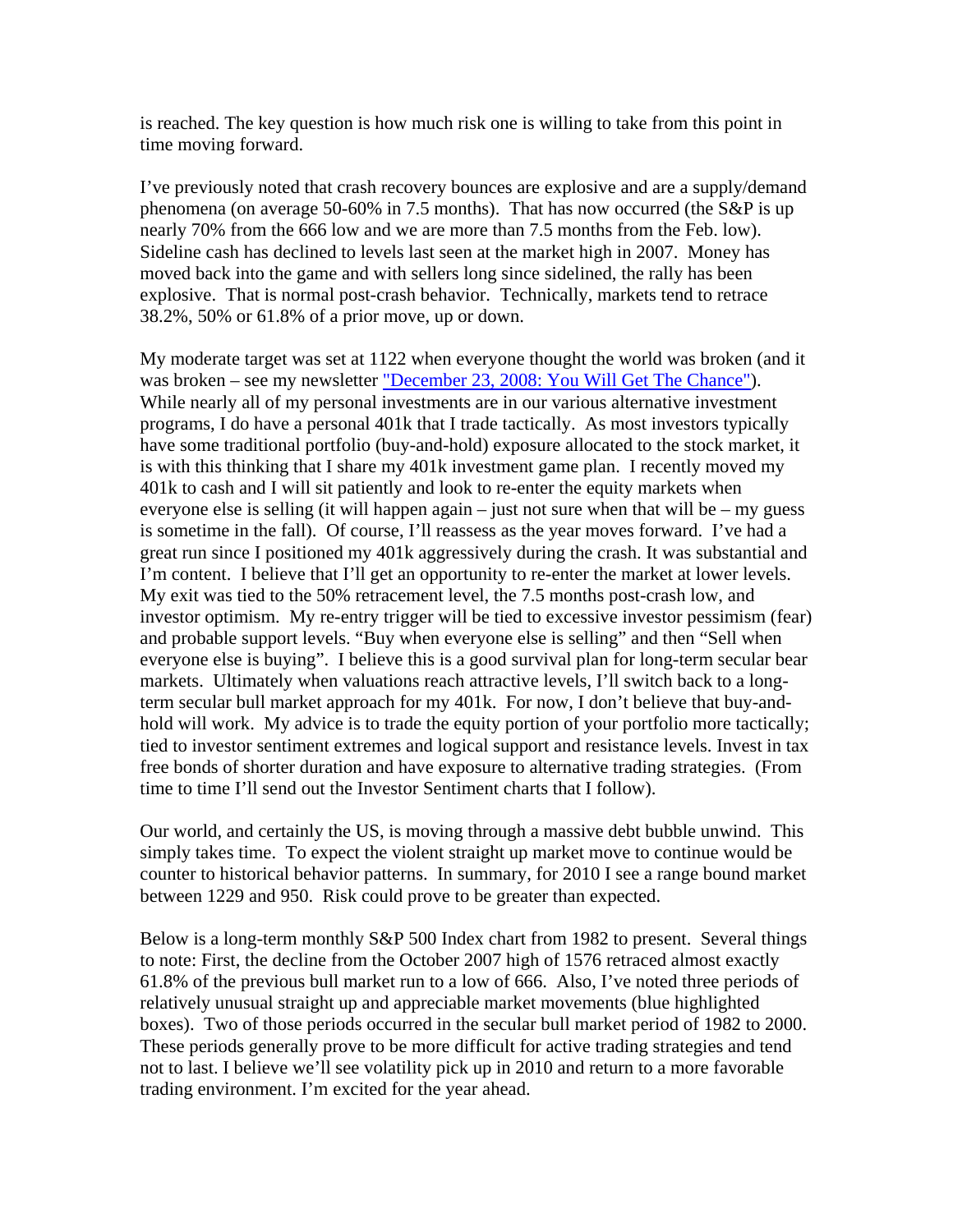is reached. The key question is how much risk one is willing to take from this point in time moving forward.

I've previously noted that crash recovery bounces are explosive and are a supply/demand phenomena (on average 50-60% in 7.5 months). That has now occurred (the S&P is up nearly 70% from the 666 low and we are more than 7.5 months from the Feb. low). Sideline cash has declined to levels last seen at the market high in 2007. Money has moved back into the game and with sellers long since sidelined, the rally has been explosive. That is normal post-crash behavior. Technically, markets tend to retrace 38.2%, 50% or 61.8% of a prior move, up or down.

My moderate target was set at 1122 when everyone thought the world was broken (and it was broken – see my newsletter ["December 23, 2008: You Will Get The Chance"\)](http://cmgfunds.net/public/market_commentary.asp). While nearly all of my personal investments are in our various alternative investment programs, I do have a personal 401k that I trade tactically. As most investors typically have some traditional portfolio (buy-and-hold) exposure allocated to the stock market, it is with this thinking that I share my 401k investment game plan. I recently moved my 401k to cash and I will sit patiently and look to re-enter the equity markets when everyone else is selling (it will happen again – just not sure when that will be – my guess is sometime in the fall). Of course, I'll reassess as the year moves forward. I've had a great run since I positioned my 401k aggressively during the crash. It was substantial and I'm content. I believe that I'll get an opportunity to re-enter the market at lower levels. My exit was tied to the 50% retracement level, the 7.5 months post-crash low, and investor optimism. My re-entry trigger will be tied to excessive investor pessimism (fear) and probable support levels. "Buy when everyone else is selling" and then "Sell when everyone else is buying". I believe this is a good survival plan for long-term secular bear markets. Ultimately when valuations reach attractive levels, I'll switch back to a longterm secular bull market approach for my 401k. For now, I don't believe that buy-andhold will work. My advice is to trade the equity portion of your portfolio more tactically; tied to investor sentiment extremes and logical support and resistance levels. Invest in tax free bonds of shorter duration and have exposure to alternative trading strategies. (From time to time I'll send out the Investor Sentiment charts that I follow).

Our world, and certainly the US, is moving through a massive debt bubble unwind. This simply takes time. To expect the violent straight up market move to continue would be counter to historical behavior patterns. In summary, for 2010 I see a range bound market between 1229 and 950. Risk could prove to be greater than expected.

Below is a long-term monthly S&P 500 Index chart from 1982 to present. Several things to note: First, the decline from the October 2007 high of 1576 retraced almost exactly 61.8% of the previous bull market run to a low of 666. Also, I've noted three periods of relatively unusual straight up and appreciable market movements (blue highlighted boxes). Two of those periods occurred in the secular bull market period of 1982 to 2000. These periods generally prove to be more difficult for active trading strategies and tend not to last. I believe we'll see volatility pick up in 2010 and return to a more favorable trading environment. I'm excited for the year ahead.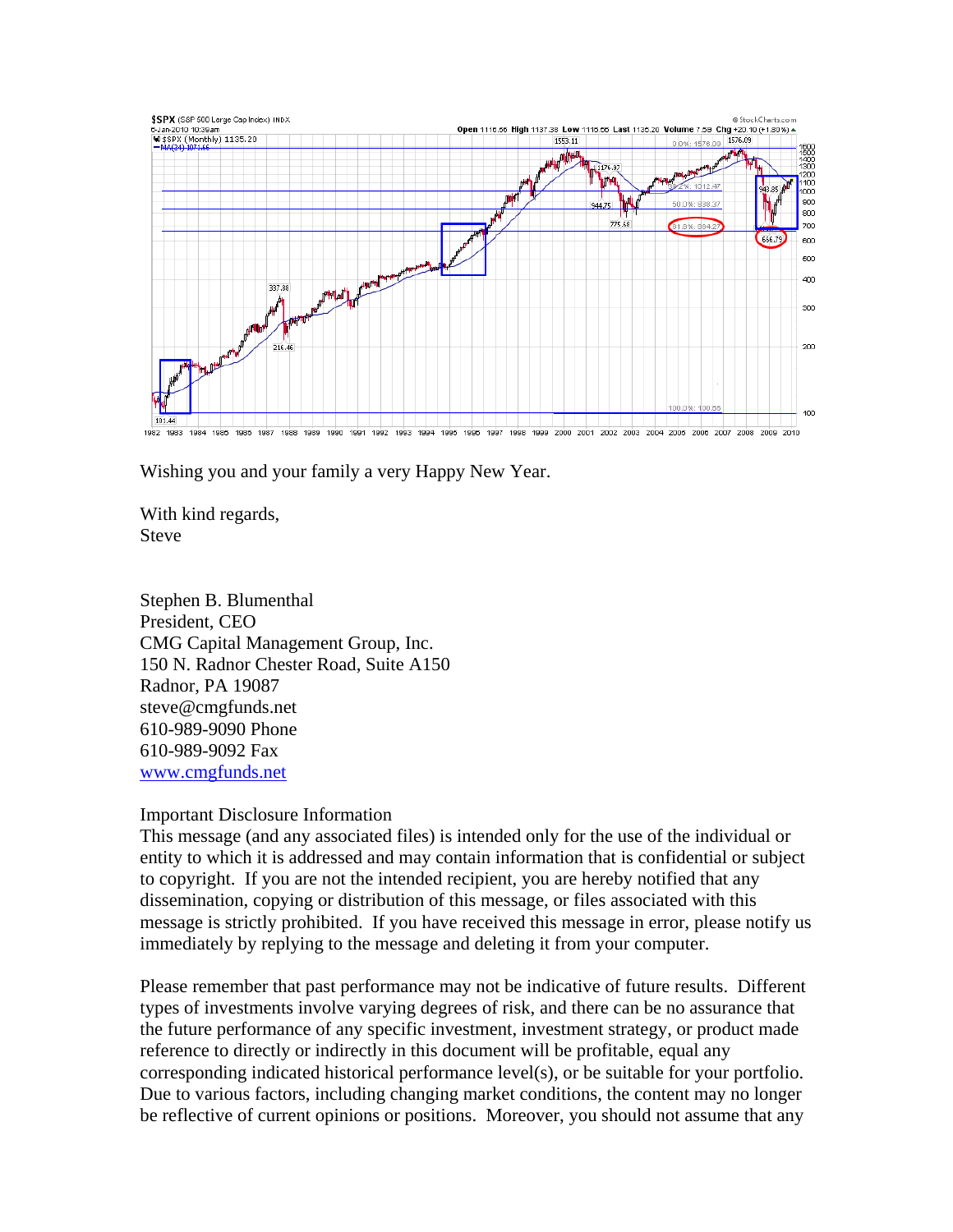

Wishing you and your family a very Happy New Year.

With kind regards, Steve

Stephen B. Blumenthal President, CEO CMG Capital Management Group, Inc. 150 N. Radnor Chester Road, Suite A150 Radnor, PA 19087 steve@cmgfunds.net 610-989-9090 Phone 610-989-9092 Fax www.cmgfunds.net

## Important Disclosure Information

This message (and any associated files) is intended only for the use of the individual or entity to which it is addressed and may contain information that is confidential or subject to copyright. If you are not the intended recipient, you are hereby notified that any dissemination, copying or distribution of this message, or files associated with this message is strictly prohibited. If you have received this message in error, please notify us immediately by replying to the message and deleting it from your computer.

Please remember that past performance may not be indicative of future results. Different types of investments involve varying degrees of risk, and there can be no assurance that the future performance of any specific investment, investment strategy, or product made reference to directly or indirectly in this document will be profitable, equal any corresponding indicated historical performance level(s), or be suitable for your portfolio. Due to various factors, including changing market conditions, the content may no longer be reflective of current opinions or positions. Moreover, you should not assume that any